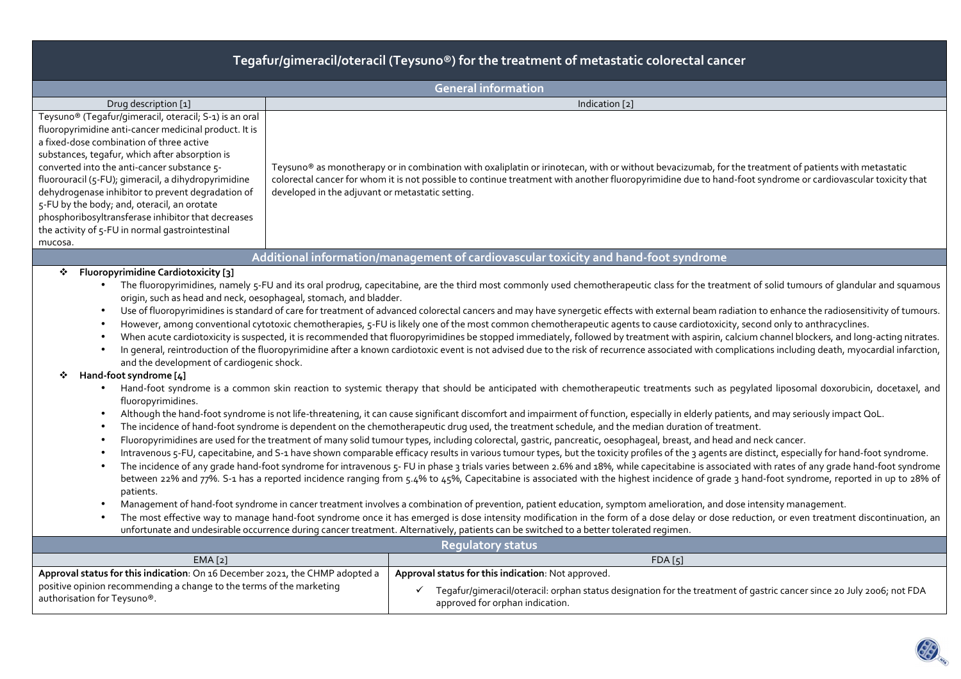# **Tegafur/gimeracil/oteracil (Teysuno®) for the treatment of metastatic colorectal cancer**

| <b>General information</b>                                                                                                                                                                                                                                                                                                                                                                                                                                                                                                                                                                                                                                                                                                                                                                                                                                                                                                                                                                                                                                                                                                                                                                                                                                                                                                                                                                                                                                                                                                                                                                                                                                                                                                                                                                                                                                                                                                                                                                                                                                                                                                                                                                                                                                                                                                                                                                                                                                                                                                                                                                                                                                                                                                                                                                                                                                                                                                                                                                                                                                                                                                                                                                                                              |                                                                                                                                                                                                                                                                                                                                                                         |  |  |  |  |  |  |  |
|-----------------------------------------------------------------------------------------------------------------------------------------------------------------------------------------------------------------------------------------------------------------------------------------------------------------------------------------------------------------------------------------------------------------------------------------------------------------------------------------------------------------------------------------------------------------------------------------------------------------------------------------------------------------------------------------------------------------------------------------------------------------------------------------------------------------------------------------------------------------------------------------------------------------------------------------------------------------------------------------------------------------------------------------------------------------------------------------------------------------------------------------------------------------------------------------------------------------------------------------------------------------------------------------------------------------------------------------------------------------------------------------------------------------------------------------------------------------------------------------------------------------------------------------------------------------------------------------------------------------------------------------------------------------------------------------------------------------------------------------------------------------------------------------------------------------------------------------------------------------------------------------------------------------------------------------------------------------------------------------------------------------------------------------------------------------------------------------------------------------------------------------------------------------------------------------------------------------------------------------------------------------------------------------------------------------------------------------------------------------------------------------------------------------------------------------------------------------------------------------------------------------------------------------------------------------------------------------------------------------------------------------------------------------------------------------------------------------------------------------------------------------------------------------------------------------------------------------------------------------------------------------------------------------------------------------------------------------------------------------------------------------------------------------------------------------------------------------------------------------------------------------------------------------------------------------------------------------------------------------|-------------------------------------------------------------------------------------------------------------------------------------------------------------------------------------------------------------------------------------------------------------------------------------------------------------------------------------------------------------------------|--|--|--|--|--|--|--|
| Drug description [1]                                                                                                                                                                                                                                                                                                                                                                                                                                                                                                                                                                                                                                                                                                                                                                                                                                                                                                                                                                                                                                                                                                                                                                                                                                                                                                                                                                                                                                                                                                                                                                                                                                                                                                                                                                                                                                                                                                                                                                                                                                                                                                                                                                                                                                                                                                                                                                                                                                                                                                                                                                                                                                                                                                                                                                                                                                                                                                                                                                                                                                                                                                                                                                                                                    | Indication [2]                                                                                                                                                                                                                                                                                                                                                          |  |  |  |  |  |  |  |
| Teysuno® (Tegafur/gimeracil, oteracil; S-1) is an oral<br>fluoropyrimidine anti-cancer medicinal product. It is<br>a fixed-dose combination of three active<br>substances, tegafur, which after absorption is<br>converted into the anti-cancer substance 5-<br>fluorouracil (5-FU); gimeracil, a dihydropyrimidine<br>dehydrogenase inhibitor to prevent degradation of<br>5-FU by the body; and, oteracil, an orotate<br>phosphoribosyltransferase inhibitor that decreases<br>the activity of 5-FU in normal gastrointestinal<br>mucosa.                                                                                                                                                                                                                                                                                                                                                                                                                                                                                                                                                                                                                                                                                                                                                                                                                                                                                                                                                                                                                                                                                                                                                                                                                                                                                                                                                                                                                                                                                                                                                                                                                                                                                                                                                                                                                                                                                                                                                                                                                                                                                                                                                                                                                                                                                                                                                                                                                                                                                                                                                                                                                                                                                             | Teysuno® as monotherapy or in combination with oxaliplatin or irinotecan, with or without bevacizumab, for the treatment of patients with metastatic<br>colorectal cancer for whom it is not possible to continue treatment with another fluoropyrimidine due to hand-foot syndrome or cardiovascular toxicity that<br>developed in the adjuvant or metastatic setting. |  |  |  |  |  |  |  |
|                                                                                                                                                                                                                                                                                                                                                                                                                                                                                                                                                                                                                                                                                                                                                                                                                                                                                                                                                                                                                                                                                                                                                                                                                                                                                                                                                                                                                                                                                                                                                                                                                                                                                                                                                                                                                                                                                                                                                                                                                                                                                                                                                                                                                                                                                                                                                                                                                                                                                                                                                                                                                                                                                                                                                                                                                                                                                                                                                                                                                                                                                                                                                                                                                                         |                                                                                                                                                                                                                                                                                                                                                                         |  |  |  |  |  |  |  |
| Additional information/management of cardiovascular toxicity and hand-foot syndrome<br><b>Fluoropyrimidine Cardiotoxicity [3]</b><br>❖<br>• The fluoropyrimidines, namely 5-FU and its oral prodrug, capecitabine, are the third most commonly used chemotherapeutic class for the treatment of solid tumours of glandular and squamous<br>origin, such as head and neck, oesophageal, stomach, and bladder.<br>Use of fluoropyrimidines is standard of care for treatment of advanced colorectal cancers and may have synergetic effects with external beam radiation to enhance the radiosensitivity of tumours.<br>$\bullet$<br>However, among conventional cytotoxic chemotherapies, 5-FU is likely one of the most common chemotherapeutic agents to cause cardiotoxicity, second only to anthracyclines.<br>$\bullet$<br>When acute cardiotoxicity is suspected, it is recommended that fluoropyrimidines be stopped immediately, followed by treatment with aspirin, calcium channel blockers, and long-acting nitrates.<br>In general, reintroduction of the fluoropyrimidine after a known cardiotoxic event is not advised due to the risk of recurrence associated with complications including death, myocardial infarction,<br>and the development of cardiogenic shock.<br>Hand-foot syndrome [4]<br>Hand-foot syndrome is a common skin reaction to systemic therapy that should be anticipated with chemotherapeutic treatments such as pegylated liposomal doxorubicin, docetaxel, and<br>$\bullet$<br>fluoropyrimidines.<br>Although the hand-foot syndrome is not life-threatening, it can cause significant discomfort and impairment of function, especially in elderly patients, and may seriously impact QoL.<br>$\bullet$<br>The incidence of hand-foot syndrome is dependent on the chemotherapeutic drug used, the treatment schedule, and the median duration of treatment.<br>Fluoropyrimidines are used for the treatment of many solid tumour types, including colorectal, gastric, pancreatic, oesophageal, breast, and head and neck cancer.<br>Intravenous 5-FU, capecitabine, and S-1 have shown comparable efficacy results in various tumour types, but the toxicity profiles of the 3 agents are distinct, especially for hand-foot syndrome.<br>The incidence of any grade hand-foot syndrome for intravenous 5- FU in phase 3 trials varies between 2.6% and 18%, while capecitabine is associated with rates of any grade hand-foot syndrome<br>$\bullet$<br>between 22% and 77%. S-1 has a reported incidence ranging from 5.4% to 45%, Capecitabine is associated with the highest incidence of grade 3 hand-foot syndrome, reported in up to 28% of<br>patients.<br>Management of hand-foot syndrome in cancer treatment involves a combination of prevention, patient education, symptom amelioration, and dose intensity management.<br>$\bullet$<br>The most effective way to manage hand-foot syndrome once it has emerged is dose intensity modification in the form of a dose delay or dose reduction, or even treatment discontinuation, an<br>unfortunate and undesirable occurrence during cancer treatment. Alternatively, patients can be switched to a better tolerated regimen. |                                                                                                                                                                                                                                                                                                                                                                         |  |  |  |  |  |  |  |
| <b>Regulatory status</b>                                                                                                                                                                                                                                                                                                                                                                                                                                                                                                                                                                                                                                                                                                                                                                                                                                                                                                                                                                                                                                                                                                                                                                                                                                                                                                                                                                                                                                                                                                                                                                                                                                                                                                                                                                                                                                                                                                                                                                                                                                                                                                                                                                                                                                                                                                                                                                                                                                                                                                                                                                                                                                                                                                                                                                                                                                                                                                                                                                                                                                                                                                                                                                                                                |                                                                                                                                                                                                                                                                                                                                                                         |  |  |  |  |  |  |  |
| EMA [2]<br>Approval status for this indication: On 16 December 2021, the CHMP adopted a                                                                                                                                                                                                                                                                                                                                                                                                                                                                                                                                                                                                                                                                                                                                                                                                                                                                                                                                                                                                                                                                                                                                                                                                                                                                                                                                                                                                                                                                                                                                                                                                                                                                                                                                                                                                                                                                                                                                                                                                                                                                                                                                                                                                                                                                                                                                                                                                                                                                                                                                                                                                                                                                                                                                                                                                                                                                                                                                                                                                                                                                                                                                                 | FDA[5]<br>Approval status for this indication: Not approved.                                                                                                                                                                                                                                                                                                            |  |  |  |  |  |  |  |
| positive opinion recommending a change to the terms of the marketing<br>authorisation for Teysuno®.                                                                                                                                                                                                                                                                                                                                                                                                                                                                                                                                                                                                                                                                                                                                                                                                                                                                                                                                                                                                                                                                                                                                                                                                                                                                                                                                                                                                                                                                                                                                                                                                                                                                                                                                                                                                                                                                                                                                                                                                                                                                                                                                                                                                                                                                                                                                                                                                                                                                                                                                                                                                                                                                                                                                                                                                                                                                                                                                                                                                                                                                                                                                     | Tegafur/gimeracil/oteracil: orphan status designation for the treatment of gastric cancer since 20 July 2006; not FDA<br>approved for orphan indication.                                                                                                                                                                                                                |  |  |  |  |  |  |  |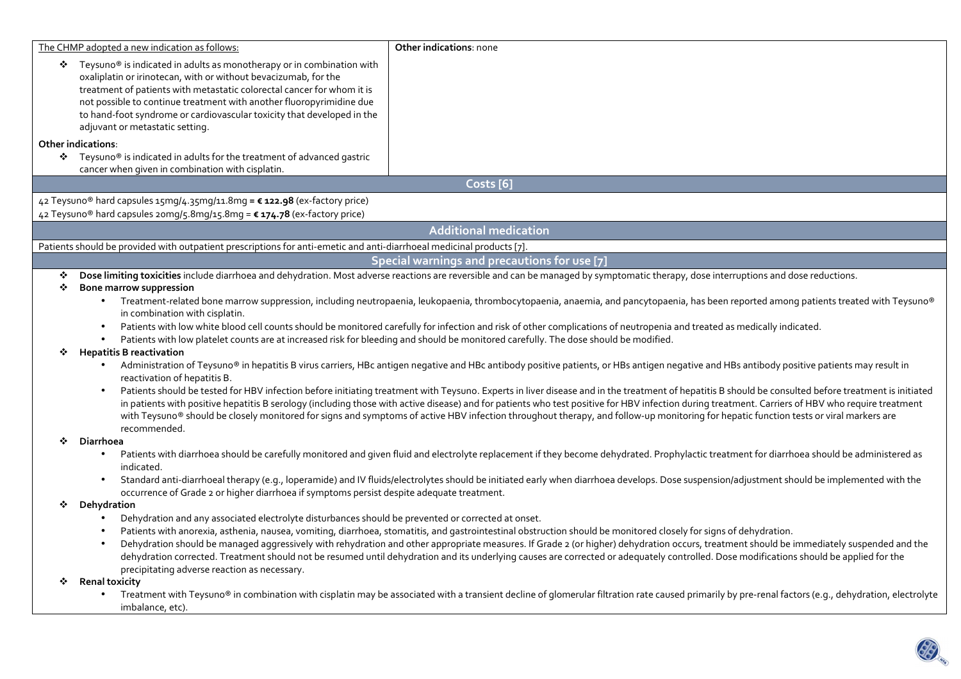|   | The CHMP adopted a new indication as follows:<br>* Teysuno <sup>®</sup> is indicated in adults as monotherapy or in combination with<br>oxaliplatin or irinotecan, with or without bevacizumab, for the<br>treatment of patients with metastatic colorectal cancer for whom it is<br>not possible to continue treatment with another fluoropyrimidine due                                                                                                                                                                                                                                                          | Other indications: none                                                                                                                                                                              |  |  |  |  |  |
|---|--------------------------------------------------------------------------------------------------------------------------------------------------------------------------------------------------------------------------------------------------------------------------------------------------------------------------------------------------------------------------------------------------------------------------------------------------------------------------------------------------------------------------------------------------------------------------------------------------------------------|------------------------------------------------------------------------------------------------------------------------------------------------------------------------------------------------------|--|--|--|--|--|
|   | to hand-foot syndrome or cardiovascular toxicity that developed in the<br>adjuvant or metastatic setting.                                                                                                                                                                                                                                                                                                                                                                                                                                                                                                          |                                                                                                                                                                                                      |  |  |  |  |  |
|   | <b>Other indications:</b><br>❖ Teysuno <sup>®</sup> is indicated in adults for the treatment of advanced gastric<br>cancer when given in combination with cisplatin.                                                                                                                                                                                                                                                                                                                                                                                                                                               |                                                                                                                                                                                                      |  |  |  |  |  |
|   |                                                                                                                                                                                                                                                                                                                                                                                                                                                                                                                                                                                                                    | Costs [6]                                                                                                                                                                                            |  |  |  |  |  |
|   | 42 Teysuno® hard capsules 15mg/4.35mg/11.8mg = € 122.98 (ex-factory price)<br>42 Teysuno® hard capsules 20mg/5.8mg/15.8mg = € 174.78 (ex-factory price)                                                                                                                                                                                                                                                                                                                                                                                                                                                            |                                                                                                                                                                                                      |  |  |  |  |  |
|   |                                                                                                                                                                                                                                                                                                                                                                                                                                                                                                                                                                                                                    | <b>Additional medication</b>                                                                                                                                                                         |  |  |  |  |  |
|   | Patients should be provided with outpatient prescriptions for anti-emetic and anti-diarrhoeal medicinal products [7].                                                                                                                                                                                                                                                                                                                                                                                                                                                                                              |                                                                                                                                                                                                      |  |  |  |  |  |
|   |                                                                                                                                                                                                                                                                                                                                                                                                                                                                                                                                                                                                                    | Special warnings and precautions for use [7]                                                                                                                                                         |  |  |  |  |  |
| ❖ |                                                                                                                                                                                                                                                                                                                                                                                                                                                                                                                                                                                                                    | Dose limiting toxicities include diarrhoea and dehydration. Most adverse reactions are reversible and can be managed by symptomatic therapy, dose interruptions and dose reductions.                 |  |  |  |  |  |
|   | <b>Bone marrow suppression</b><br>❖<br>Treatment-related bone marrow suppression, including neutropaenia, leukopaenia, thrombocytopaenia, anaemia, and pancytopaenia, has been reported among patients treated with Teysuno®<br>in combination with cisplatin.                                                                                                                                                                                                                                                                                                                                                     |                                                                                                                                                                                                      |  |  |  |  |  |
|   | Patients with low white blood cell counts should be monitored carefully for infection and risk of other complications of neutropenia and treated as medically indicated.<br>Patients with low platelet counts are at increased risk for bleeding and should be monitored carefully. The dose should be modified.                                                                                                                                                                                                                                                                                                   |                                                                                                                                                                                                      |  |  |  |  |  |
|   | <b>Hepatitis B reactivation</b><br>Administration of Teysuno® in hepatitis B virus carriers, HBc antigen negative and HBc antibody positive patients, or HBs antigen negative and HBs antibody positive patients may result in<br>reactivation of hepatitis B.                                                                                                                                                                                                                                                                                                                                                     |                                                                                                                                                                                                      |  |  |  |  |  |
|   | Patients should be tested for HBV infection before initiating treatment with Teysuno. Experts in liver disease and in the treatment of hepatitis B should be consulted before treatment is initiated<br>in patients with positive hepatitis B serology (including those with active disease) and for patients who test positive for HBV infection during treatment. Carriers of HBV who require treatment<br>with Teysuno® should be closely monitored for signs and symptoms of active HBV infection throughout therapy, and follow-up monitoring for hepatic function tests or viral markers are<br>recommended. |                                                                                                                                                                                                      |  |  |  |  |  |
| ❖ | Diarrhoea                                                                                                                                                                                                                                                                                                                                                                                                                                                                                                                                                                                                          |                                                                                                                                                                                                      |  |  |  |  |  |
|   | Patients with diarrhoea should be carefully monitored and given fluid and electrolyte replacement if they become dehydrated. Prophylactic treatment for diarrhoea should be administered as<br>$\bullet$<br>indicated.                                                                                                                                                                                                                                                                                                                                                                                             |                                                                                                                                                                                                      |  |  |  |  |  |
|   | Standard anti-diarrhoeal therapy (e.g., loperamide) and IV fluids/electrolytes should be initiated early when diarrhoea develops. Dose suspension/adjustment should be implemented with the<br>occurrence of Grade 2 or higher diarrhoea if symptoms persist despite adequate treatment.                                                                                                                                                                                                                                                                                                                           |                                                                                                                                                                                                      |  |  |  |  |  |
| ❖ | Dehydration                                                                                                                                                                                                                                                                                                                                                                                                                                                                                                                                                                                                        |                                                                                                                                                                                                      |  |  |  |  |  |
|   | Dehydration and any associated electrolyte disturbances should be prevented or corrected at onset.<br>$\bullet$                                                                                                                                                                                                                                                                                                                                                                                                                                                                                                    |                                                                                                                                                                                                      |  |  |  |  |  |
|   | Patients with anorexia, asthenia, nausea, vomiting, diarrhoea, stomatitis, and gastrointestinal obstruction should be monitored closely for signs of dehydration.                                                                                                                                                                                                                                                                                                                                                                                                                                                  |                                                                                                                                                                                                      |  |  |  |  |  |
|   | Dehydration should be managed aggressively with rehydration and other appropriate measures. If Grade 2 (or higher) dehydration occurs, treatment should be immediately suspended and the<br>dehydration corrected. Treatment should not be resumed until dehydration and its underlying causes are corrected or adequately controlled. Dose modifications should be applied for the                                                                                                                                                                                                                                |                                                                                                                                                                                                      |  |  |  |  |  |
|   | precipitating adverse reaction as necessary.                                                                                                                                                                                                                                                                                                                                                                                                                                                                                                                                                                       |                                                                                                                                                                                                      |  |  |  |  |  |
|   | <b>Renal toxicity</b>                                                                                                                                                                                                                                                                                                                                                                                                                                                                                                                                                                                              |                                                                                                                                                                                                      |  |  |  |  |  |
|   | imbalance, etc).                                                                                                                                                                                                                                                                                                                                                                                                                                                                                                                                                                                                   | Treatment with Teysuno® in combination with cisplatin may be associated with a transient decline of glomerular filtration rate caused primarily by pre-renal factors (e.g., dehydration, electrolyte |  |  |  |  |  |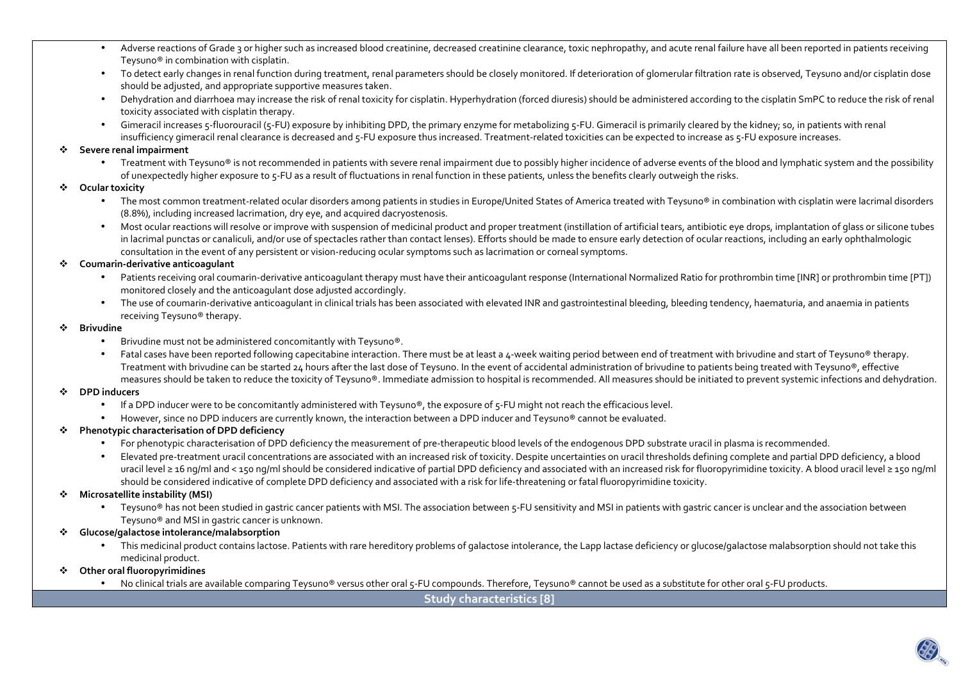- •Adverse reactions of Grade 3 or higher such as increased blood creatinine, decreased creatinine clearance, toxic nephropathy, and acute renal failure have all been reported in patients receiving Teysuno® in combination with cisplatin.
- To detect early changes in renal function during treatment, renal parameters should be closely monitored. If deterioration of glomerular filtration rate is observed, Teysuno and/or cisplatin dose should be adjusted, and appropriate supportive measures taken.
- Dehydration and diarrhoea may increase the risk of renal toxicity for cisplatin. Hyperhydration (forced diuresis) should be administered according to the cisplatin SmPC to reduce the risk of renal toxicity associated with cisplatin therapy.
- •Gimeracil increases 5-fluorouracil (5-FU) exposure by inhibiting DPD, the primary enzyme for metabolizing 5-FU. Gimeracil is primarily cleared by the kidney; so, in patients with renal insufficiency gimeracil renal clearance is decreased and 5-FU exposure thus increased. Treatment-related toxicities can be expected to increase as 5-FU exposure increases.

#### ❖ **Severe renal impairment**

 $\bullet$  Treatment with Teysuno® is not recommended in patients with severe renal impairment due to possibly higher incidence of adverse events of the blood and lymphatic system and the possibility of unexpectedly higher exposure to 5-FU as a result of fluctuations in renal function in these patients, unless the benefits clearly outweigh the risks.

#### ❖ **Ocular toxicity**

- The most common treatment-related ocular disorders among patients in studies in Europe/United States of America treated with Teysuno® in combination with cisplatin were lacrimal disorders (8.8%), including increased lacrimation, dry eye, and acquired dacryostenosis.
- Most ocular reactions will resolve or improve with suspension of medicinal product and proper treatment (instillation of artificial tears, antibiotic eye drops, implantation of glass or silicone tubes in lacrimal punctas or canaliculi, and/or use of spectacles rather than contact lenses). Efforts should be made to ensure early detection of ocular reactions, including an early ophthalmologic consultation in the event of any persistent or vision-reducing ocular symptoms such as lacrimation or corneal symptoms.

#### ÷ **Coumarin-derivative anticoagulant**

- •Patients receiving oral coumarin-derivative anticoagulant therapy must have their anticoagulant response (International Normalized Ratio for prothrombin time [INR] or prothrombin time [PT]) monitored closely and the anticoagulant dose adjusted accordingly.
- $\bullet$  The use of coumarin-derivative anticoagulant in clinical trials has been associated with elevated INR and gastrointestinal bleeding, bleeding tendency, haematuria, and anaemia in patients receiving Teysuno® therapy.

#### ❖ **Brivudine**

- $\bullet$  Brivudine must not be administered concomitantly with Teysuno®.
- Fatal cases have been reported following capecitabine interaction. There must be at least a 4-week waiting period between end of treatment with brivudine and start of Teysuno® therapy. Treatment with brivudine can be started 24 hours after the last dose of Teysuno. In the event of accidental administration of brivudine to patients being treated with Teysuno®, effective measures should be taken to reduce the toxicity of Teysuno®. Immediate admission to hospital is recommended. All measures should be initiated to prevent systemic infections and dehydration.

#### ❖ **DPD inducers**

- $\bullet$  If a DPD inducer were to be concomitantly administered with Teysuno®, the exposure of 5-FU might not reach the efficacious level.
- However, since no DPD inducers are currently known, the interaction between a DPD inducer and Teysuno® cannot be evaluated.

## **Phenotypic characterisation of DPD deficiency**

- For phenotypic characterisation of DPD deficiency the measurement of pre-therapeutic blood levels of the endogenous DPD substrate uracil in plasma is recommended.
- Elevated pre-treatment uracil concentrations are associated with an increased risk of toxicity. Despite uncertainties on uracil thresholds defining complete and partial DPD deficiency, a blood uracil level ≥ 16 ng/ml and < 150 ng/ml should be considered indicative of partial DPD deficiency and associated with an increased risk for fluoropyrimidine toxicity. A blood uracil level ≥ 150 ng/ml should be considered indicative of complete DPD deficiency and associated with a risk for life-threatening or fatal fluoropyrimidine toxicity.

#### $\bullet$ **Microsatellite instability (MSI)**

 $\bullet$  Teysuno® has not been studied in gastric cancer patients with MSI. The association between 5-FU sensitivity and MSI in patients with gastric cancer is unclear and the association between Teysuno® and MSI in gastric cancer is unknown.

#### $\mathcal{L}_{\mathcal{C}}$ **Glucose/galactose intolerance/malabsorption**

- $\bullet$  This medicinal product contains lactose. Patients with rare hereditory problems of galactose intolerance, the Lapp lactase deficiency or glucose/galactose malabsorption should not take this medicinal product.
- **Other oral fluoropyrimidines** 
	- No clinical trials are available comparing Teysuno® versus other oral 5-FU compounds. Therefore, Teysuno® cannot be used as a substitute for other oral 5-FU products.

**Study characteristics [8]**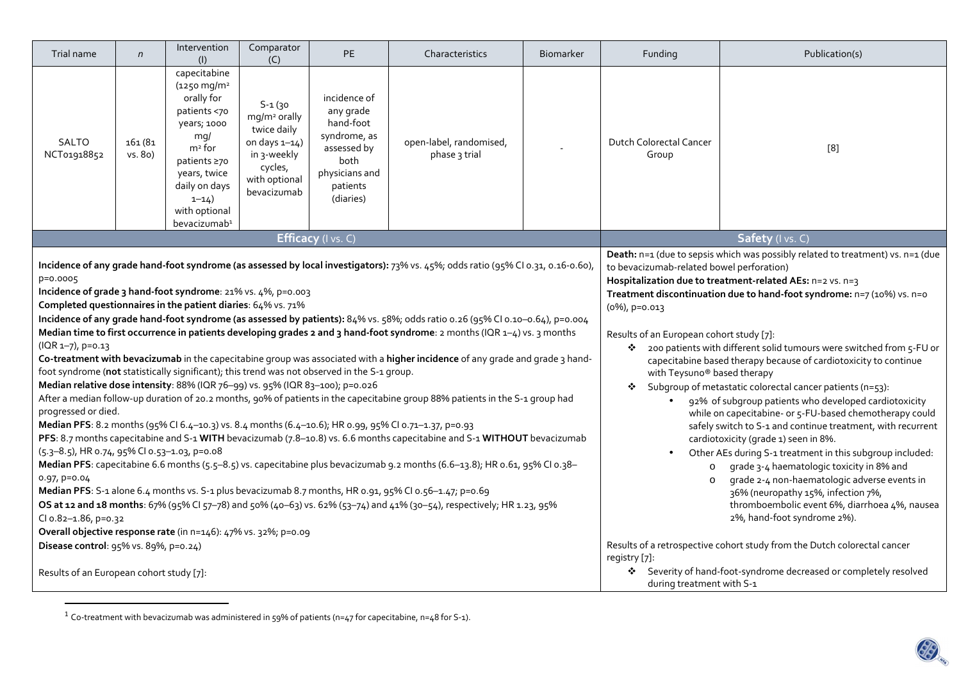| Trial name                                                                                                                                                                                                                                                                                                                                                                                                                                                                                                                                                                                                                                                                                                                                                                                                                                                                                                                                                                                                                                                                                                                                                                                                                                                                                                                                                                                                                                                                                                                                                                                                                                                                                                                                                                                                        | $\mathsf{n}$       | Intervention<br>(1)                                                                                                                                                                                                 | Comparator<br>(C)                                                                                                                    | <b>PE</b>                                                                                                                                                                                                                                                                                                                                                                                                                                                                                                                                                                                                                                                                                                                                                                                                                                                                                                                                                                                                                                                                                                                                     | Characteristics                          | <b>Biomarker</b> | Funding                                                                                                                                                                                   | Publication(s) |  |
|-------------------------------------------------------------------------------------------------------------------------------------------------------------------------------------------------------------------------------------------------------------------------------------------------------------------------------------------------------------------------------------------------------------------------------------------------------------------------------------------------------------------------------------------------------------------------------------------------------------------------------------------------------------------------------------------------------------------------------------------------------------------------------------------------------------------------------------------------------------------------------------------------------------------------------------------------------------------------------------------------------------------------------------------------------------------------------------------------------------------------------------------------------------------------------------------------------------------------------------------------------------------------------------------------------------------------------------------------------------------------------------------------------------------------------------------------------------------------------------------------------------------------------------------------------------------------------------------------------------------------------------------------------------------------------------------------------------------------------------------------------------------------------------------------------------------|--------------------|---------------------------------------------------------------------------------------------------------------------------------------------------------------------------------------------------------------------|--------------------------------------------------------------------------------------------------------------------------------------|-----------------------------------------------------------------------------------------------------------------------------------------------------------------------------------------------------------------------------------------------------------------------------------------------------------------------------------------------------------------------------------------------------------------------------------------------------------------------------------------------------------------------------------------------------------------------------------------------------------------------------------------------------------------------------------------------------------------------------------------------------------------------------------------------------------------------------------------------------------------------------------------------------------------------------------------------------------------------------------------------------------------------------------------------------------------------------------------------------------------------------------------------|------------------------------------------|------------------|-------------------------------------------------------------------------------------------------------------------------------------------------------------------------------------------|----------------|--|
| <b>SALTO</b><br>NCT01918852                                                                                                                                                                                                                                                                                                                                                                                                                                                                                                                                                                                                                                                                                                                                                                                                                                                                                                                                                                                                                                                                                                                                                                                                                                                                                                                                                                                                                                                                                                                                                                                                                                                                                                                                                                                       | 161 (81<br>vs. 80) | capecitabine<br>$(1250 \, \text{mg/m}^2)$<br>orally for<br>patients <70<br>years; 1000<br>mq/<br>$m2$ for<br>patients ≥70<br>years, twice<br>daily on days<br>$1 - 14$<br>with optional<br>bevacizumab <sup>1</sup> | $S - 1(30)$<br>mg/m <sup>2</sup> orally<br>twice daily<br>on days $1-14$ )<br>in 3-weekly<br>cycles,<br>with optional<br>bevacizumab | incidence of<br>any grade<br>hand-foot<br>syndrome, as<br>assessed by<br>both<br>physicians and<br>patients<br>(diaries)                                                                                                                                                                                                                                                                                                                                                                                                                                                                                                                                                                                                                                                                                                                                                                                                                                                                                                                                                                                                                      | open-label, randomised,<br>phase 3 trial |                  | Dutch Colorectal Cancer<br>Group                                                                                                                                                          | $[8]$          |  |
|                                                                                                                                                                                                                                                                                                                                                                                                                                                                                                                                                                                                                                                                                                                                                                                                                                                                                                                                                                                                                                                                                                                                                                                                                                                                                                                                                                                                                                                                                                                                                                                                                                                                                                                                                                                                                   |                    |                                                                                                                                                                                                                     | Efficacy (I vs. C)                                                                                                                   | Safety (I vs. C)                                                                                                                                                                                                                                                                                                                                                                                                                                                                                                                                                                                                                                                                                                                                                                                                                                                                                                                                                                                                                                                                                                                              |                                          |                  |                                                                                                                                                                                           |                |  |
| Incidence of any grade hand-foot syndrome (as assessed by local investigators): 73% vs. 45%; odds ratio (95% CI 0.31, 0.16-0.60),<br>p=0.0005<br>Incidence of grade 3 hand-foot syndrome: 21% vs. 4%, p=0.003<br>Completed questionnaires in the patient diaries: 64% vs. 71%<br>Incidence of any grade hand-foot syndrome (as assessed by patients): 84% vs. 58%; odds ratio 0.26 (95% CI 0.10-0.64), p=0.004<br>Median time to first occurrence in patients developing grades 2 and 3 hand-foot syndrome: 2 months (IQR 1-4) vs. 3 months<br>(IQR 1-7), p=0.13<br>Co-treatment with bevacizumab in the capecitabine group was associated with a higher incidence of any grade and grade 3 hand-<br>foot syndrome (not statistically significant); this trend was not observed in the S-1 group.<br>Median relative dose intensity: 88% (IQR 76-99) vs. 95% (IQR 83-100); p=0.026<br>After a median follow-up duration of 20.2 months, 90% of patients in the capecitabine group 88% patients in the S-1 group had<br>progressed or died.<br>Median PFS: 8.2 months (95% Cl 6.4-10.3) vs. 8.4 months (6.4-10.6); HR 0.99, 95% Cl 0.71-1.37, p=0.93<br>PFS: 8.7 months capecitabine and S-1 WITH bevacizumab (7.8-10.8) vs. 6.6 months capecitabine and S-1 WITHOUT bevacizumab<br>(5.3-8.5), HR 0.74, 95% CI 0.53-1.03, p=0.08<br>Median PFS: capecitabine 6.6 months (5.5-8.5) vs. capecitabine plus bevacizumab 9.2 months (6.6-13.8); HR 0.61, 95% CI 0.38-<br>$0.97, p=0.04$<br>Median PFS: S-1 alone 6.4 months vs. S-1 plus bevacizumab 8.7 months, HR 0.91, 95% Cl 0.56-1.47; p=0.69<br>OS at 12 and 18 months: 67% (95% CI 57-78) and 50% (40-63) vs. 62% (53-74) and 41% (30-54), respectively; HR 1.23, 95%<br>Cl o.82-1.86, p=0.32<br>Overall objective response rate (in n=146): 47% vs. 32%; p=0.09 |                    |                                                                                                                                                                                                                     |                                                                                                                                      | Death: n=1 (due to sepsis which was possibly related to treatment) vs. n=1 (due<br>to bevacizumab-related bowel perforation)<br>Hospitalization due to treatment-related AEs: n=2 vs. n=3<br>Treatment discontinuation due to hand-foot syndrome: n=7 (10%) vs. n=0<br>(0%), p=0.013<br>Results of an European cohort study [7]:<br>200 patients with different solid tumours were switched from 5-FU or<br>❖<br>capecitabine based therapy because of cardiotoxicity to continue<br>with Teysuno® based therapy<br>Subgroup of metastatic colorectal cancer patients (n=53):<br>❖<br>92% of subgroup patients who developed cardiotoxicity<br>$\bullet$<br>while on capecitabine- or 5-FU-based chemotherapy could<br>safely switch to S-1 and continue treatment, with recurrent<br>cardiotoxicity (grade 1) seen in 8%.<br>Other AEs during S-1 treatment in this subgroup included:<br>$\bullet$<br>grade 3-4 haematologic toxicity in 8% and<br>$\circ$<br>grade 2-4 non-haematologic adverse events in<br>$\circ$<br>36% (neuropathy 15%, infection 7%,<br>thromboembolic event 6%, diarrhoea 4%, nausea<br>2%, hand-foot syndrome 2%). |                                          |                  |                                                                                                                                                                                           |                |  |
| Disease control: 95% vs. 89%, p=0.24)<br>Results of an European cohort study [7]:                                                                                                                                                                                                                                                                                                                                                                                                                                                                                                                                                                                                                                                                                                                                                                                                                                                                                                                                                                                                                                                                                                                                                                                                                                                                                                                                                                                                                                                                                                                                                                                                                                                                                                                                 |                    |                                                                                                                                                                                                                     |                                                                                                                                      |                                                                                                                                                                                                                                                                                                                                                                                                                                                                                                                                                                                                                                                                                                                                                                                                                                                                                                                                                                                                                                                                                                                                               |                                          |                  | Results of a retrospective cohort study from the Dutch colorectal cancer<br>registry [7]:<br>Severity of hand-foot-syndrome decreased or completely resolved<br>during treatment with S-1 |                |  |

 $^1$  Co-treatment with bevacizumab was administered in 59% of patients (n=47 for capecitabine, n=48 for S-1).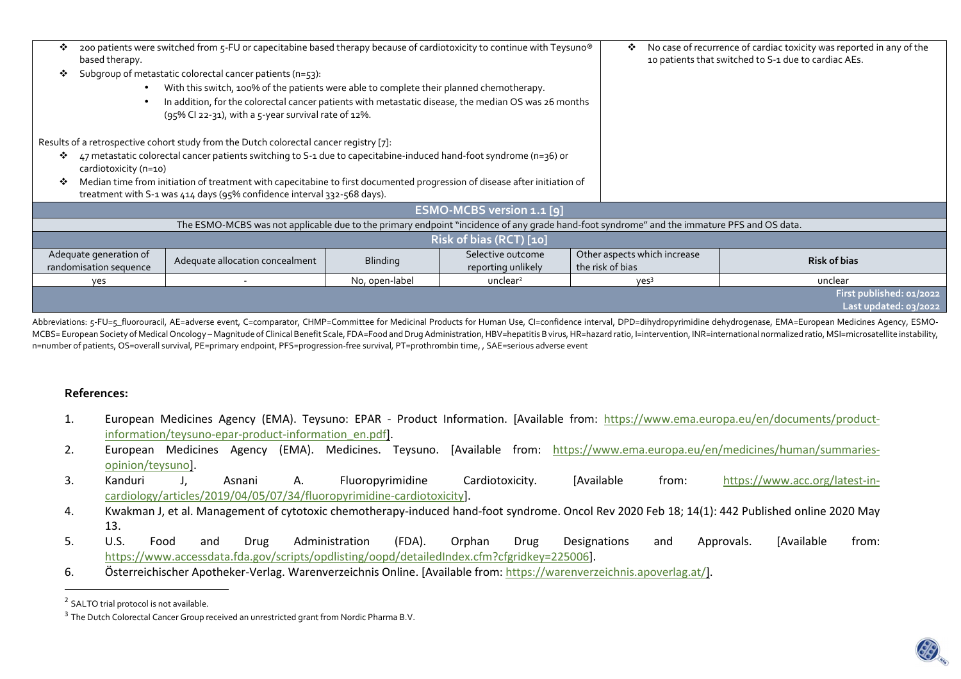| ❖<br>based therapy.                                                                                                                        | 200 patients were switched from 5-FU or capecitabine based therapy because of cardiotoxicity to continue with Teysuno® | ❖               | No case of recurrence of cardiac toxicity was reported in any of the<br>10 patients that switched to S-1 due to cardiac AEs. |                              |                          |  |  |
|--------------------------------------------------------------------------------------------------------------------------------------------|------------------------------------------------------------------------------------------------------------------------|-----------------|------------------------------------------------------------------------------------------------------------------------------|------------------------------|--------------------------|--|--|
|                                                                                                                                            | Subgroup of metastatic colorectal cancer patients ( $n = 53$ ):                                                        |                 |                                                                                                                              |                              |                          |  |  |
|                                                                                                                                            | With this switch, 100% of the patients were able to complete their planned chemotherapy.                               |                 |                                                                                                                              |                              |                          |  |  |
|                                                                                                                                            | In addition, for the colorectal cancer patients with metastatic disease, the median OS was 26 months                   |                 |                                                                                                                              |                              |                          |  |  |
|                                                                                                                                            | (95% CI 22-31), with a 5-year survival rate of 12%.                                                                    |                 |                                                                                                                              |                              |                          |  |  |
|                                                                                                                                            |                                                                                                                        |                 |                                                                                                                              |                              |                          |  |  |
| Results of a retrospective cohort study from the Dutch colorectal cancer registry [7]:                                                     |                                                                                                                        |                 |                                                                                                                              |                              |                          |  |  |
| 47 metastatic colorectal cancer patients switching to S-1 due to capecitabine-induced hand-foot syndrome (n=36) or<br>❖                    |                                                                                                                        |                 |                                                                                                                              |                              |                          |  |  |
|                                                                                                                                            | cardiotoxicity (n=10)                                                                                                  |                 |                                                                                                                              |                              |                          |  |  |
| Median time from initiation of treatment with capecitabine to first documented progression of disease after initiation of                  |                                                                                                                        |                 |                                                                                                                              |                              |                          |  |  |
| treatment with S-1 was 414 days (95% confidence interval 332-568 days).                                                                    |                                                                                                                        |                 |                                                                                                                              |                              |                          |  |  |
| ESMO-MCBS version 1.1 [9]                                                                                                                  |                                                                                                                        |                 |                                                                                                                              |                              |                          |  |  |
| The ESMO-MCBS was not applicable due to the primary endpoint "incidence of any grade hand-foot syndrome" and the immature PFS and OS data. |                                                                                                                        |                 |                                                                                                                              |                              |                          |  |  |
| Risk of bias (RCT) [10]                                                                                                                    |                                                                                                                        |                 |                                                                                                                              |                              |                          |  |  |
| Adequate generation of                                                                                                                     |                                                                                                                        |                 | Selective outcome                                                                                                            | Other aspects which increase | <b>Risk of bias</b>      |  |  |
| randomisation sequence                                                                                                                     | Adequate allocation concealment                                                                                        | <b>Blinding</b> | reporting unlikely                                                                                                           | the risk of bias             |                          |  |  |
| yes                                                                                                                                        |                                                                                                                        | No, open-label  | unclear <sup>2</sup>                                                                                                         | yes <sup>3</sup>             | unclear                  |  |  |
|                                                                                                                                            |                                                                                                                        |                 |                                                                                                                              |                              | First published: 01/2022 |  |  |
|                                                                                                                                            |                                                                                                                        |                 |                                                                                                                              |                              | Last updated: 03/2022    |  |  |
|                                                                                                                                            |                                                                                                                        |                 |                                                                                                                              |                              |                          |  |  |

Abbreviations: 5-FU=5 fluorouracil, AE=adverse event, C=comparator, CHMP=Committee for Medicinal Products for Human Use, CI=confidence interval, DPD=dihydropyrimidine dehydrogenase, EMA=European Medicines Agency, ESMO-MCBS= European Society of Medical Oncology - Magnitude of Clinical Benefit Scale, FDA=Food and Drug Administration, HBV=hepatitis B virus, HR=hazard ratio, I=intervention, INR=international normalized ratio, MSI=microsatel n=number of patients, OS=overall survival, PE=primary endpoint, PFS=progression-free survival, PT=prothrombin time, , SAE=serious adverse event

### **References:**

- 1. European Medicines Agency (EMA). Teysuno: EPAR Product Information. [Available from: https://www.ema.europa.eu/en/documents/productinformation/teysuno-epar-product-information\_en.pdf].
- 2. European Medicines Agency (EMA). Medicines. Teysuno. [Available from: https://www.ema.europa.eu/en/medicines/human/summariesopinion/teysuno].
- 3. Kanduri J, Asnani A. Fluoropyrimidine Cardiotoxicity. [Available from: https://www.acc.org/latest-incardiology/articles/2019/04/05/07/34/fluoropyrimidine-cardiotoxicity].
- 4. Kwakman J, et al. Management of cytotoxic chemotherapy-induced hand-foot syndrome. Oncol Rev 2020 Feb 18; 14(1): 442 Published online 2020 May 13.
- 5. U.S. Food and Drug Administration (FDA). Orphan Drug Designations and Approvals. [Available from: https://www.accessdata.fda.gov/scripts/opdlisting/oopd/detailedIndex.cfm?cfgridkey=225006].
- 6. Österreichischer Apotheker-Verlag. Warenverzeichnis Online. [Available from: https://warenverzeichnis.apoverlag.at/].

<sup>&</sup>lt;sup>2</sup> SALTO trial protocol is not available.

<sup>&</sup>lt;sup>3</sup> The Dutch Colorectal Cancer Group received an unrestricted grant from Nordic Pharma B.V.